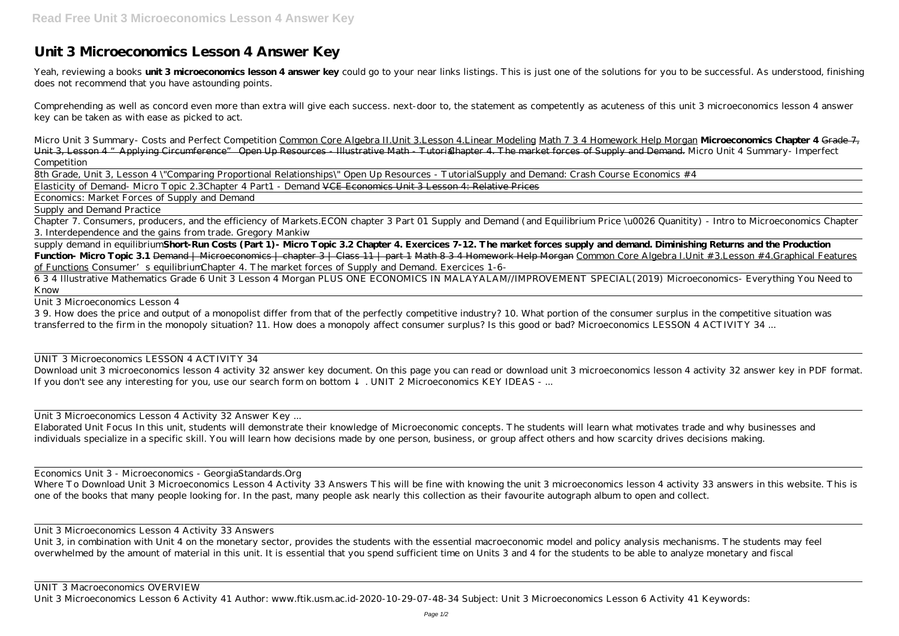## **Unit 3 Microeconomics Lesson 4 Answer Key**

Yeah, reviewing a books **unit 3 microeconomics lesson 4 answer key** could go to your near links listings. This is just one of the solutions for you to be successful. As understood, finishing does not recommend that you have astounding points.

Comprehending as well as concord even more than extra will give each success. next-door to, the statement as competently as acuteness of this unit 3 microeconomics lesson 4 answer key can be taken as with ease as picked to act.

*Micro Unit 3 Summary- Costs and Perfect Competition* Common Core Algebra II.Unit 3.Lesson 4.Linear Modeling Math 7 3 4 Homework Help Morgan **Microeconomics Chapter 4** Grade 7, Unit 3, Lesson 4 " Applying Circumference" Open Up Resources - Illustrative Math - Tutorialhapter 4. The market forces of Supply and Demand. *Micro Unit 4 Summary- Imperfect Competition*

8th Grade, Unit 3, Lesson 4 \"Comparing Proportional Relationships\" Open Up Resources - Tutorial*Supply and Demand: Crash Course Economics #4* Elasticity of Demand- Micro Topic 2.3*Chapter 4 Part1 - Demand* VCE Economics Unit 3 Lesson 4: Relative Prices

Economics: Market Forces of Supply and Demand

Supply and Demand Practice

Download unit 3 microeconomics lesson 4 activity 32 answer key document. On this page you can read or download unit 3 microeconomics lesson 4 activity 32 answer key in PDF format. If you don't see any interesting for you, use our search form on bottom . UNIT 2 Microeconomics KEY IDEAS - ...

Chapter 7. Consumers, producers, and the efficiency of Markets.*ECON chapter 3 Part 01 Supply and Demand (and Equilibrium Price \u0026 Quanitity) - Intro to Microeconomics Chapter 3. Interdependence and the gains from trade. Gregory Mankiw*

supply demand in equilibrium**Short-Run Costs (Part 1)- Micro Topic 3.2 Chapter 4. Exercices 7-12. The market forces supply and demand. Diminishing Returns and the Production** Function- Micro Topic 3.1 <del>Demand | Microeconomics | chapter 3 | Class 11 | part 1</del> Math 8 3 4 Homework Help Morgan Common Core Algebra I.Unit # 3.Lesson # 4.Graphical Features of Functions *Consumer's equilibrium* Chapter 4. The market forces of Supply and Demand. Exercices 1-6-

Where To Download Unit 3 Microeconomics Lesson 4 Activity 33 Answers This will be fine with knowing the unit 3 microeconomics lesson 4 activity 33 answers in this website. This is one of the books that many people looking for. In the past, many people ask nearly this collection as their favourite autograph album to open and collect.

6 3 4 Illustrative Mathematics Grade 6 Unit 3 Lesson 4 Morgan PLUS ONE ECONOMICS IN MALAYALAM//IMPROVEMENT SPECIAL(2019) *Microeconomics- Everything You Need to Know*

Unit 3 Microeconomics Lesson 4

3 9. How does the price and output of a monopolist differ from that of the perfectly competitive industry? 10. What portion of the consumer surplus in the competitive situation was transferred to the firm in the monopoly situation? 11. How does a monopoly affect consumer surplus? Is this good or bad? Microeconomics LESSON 4 ACTIVITY 34 ...

## UNIT 3 Microeconomics LESSON 4 ACTIVITY 34

Unit 3 Microeconomics Lesson 4 Activity 32 Answer Key ...

Elaborated Unit Focus In this unit, students will demonstrate their knowledge of Microeconomic concepts. The students will learn what motivates trade and why businesses and individuals specialize in a specific skill. You will learn how decisions made by one person, business, or group affect others and how scarcity drives decisions making.

Economics Unit 3 - Microeconomics - GeorgiaStandards.Org

Unit 3 Microeconomics Lesson 4 Activity 33 Answers

Unit 3, in combination with Unit 4 on the monetary sector, provides the students with the essential macroeconomic model and policy analysis mechanisms. The students may feel overwhelmed by the amount of material in this unit. It is essential that you spend sufficient time on Units 3 and 4 for the students to be able to analyze monetary and fiscal

## UNIT 3 Macroeconomics OVERVIEW

Unit 3 Microeconomics Lesson 6 Activity 41 Author: www.ftik.usm.ac.id-2020-10-29-07-48-34 Subject: Unit 3 Microeconomics Lesson 6 Activity 41 Keywords: